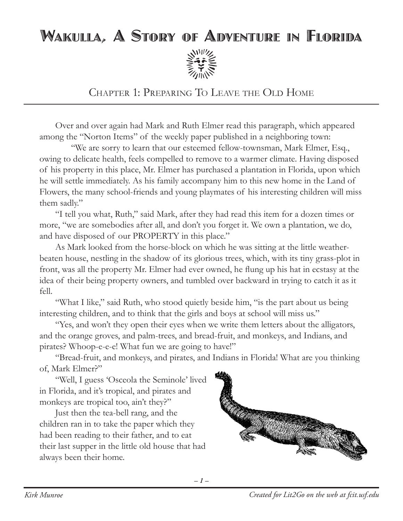## Wakulla, A Story of Adventure in Florida



Chapter 1: Preparing To Leave the Old Home

Over and over again had Mark and Ruth Elmer read this paragraph, which appeared among the "Norton Items" of the weekly paper published in a neighboring town:

"We are sorry to learn that our esteemed fellow-townsman, Mark Elmer, Esq., owing to delicate health, feels compelled to remove to a warmer climate. Having disposed of his property in this place, Mr. Elmer has purchased a plantation in Florida, upon which he will settle immediately. As his family accompany him to this new home in the Land of Flowers, the many school-friends and young playmates of his interesting children will miss them sadly."

"I tell you what, Ruth," said Mark, after they had read this item for a dozen times or more, "we are somebodies after all, and don't you forget it. We own a plantation, we do, and have disposed of our PROPERTY in this place."

As Mark looked from the horse-block on which he was sitting at the little weatherbeaten house, nestling in the shadow of its glorious trees, which, with its tiny grass-plot in front, was all the property Mr. Elmer had ever owned, he flung up his hat in ecstasy at the idea of their being property owners, and tumbled over backward in trying to catch it as it fell.

"What I like," said Ruth, who stood quietly beside him, "is the part about us being interesting children, and to think that the girls and boys at school will miss us."

"Yes, and won't they open their eyes when we write them letters about the alligators, and the orange groves, and palm-trees, and bread-fruit, and monkeys, and Indians, and pirates? Whoop-e-e-e! What fun we are going to have!"

"Bread-fruit, and monkeys, and pirates, and Indians in Florida! What are you thinking of, Mark Elmer?"

"Well, I guess 'Osceola the Seminole' lived in Florida, and it's tropical, and pirates and monkeys are tropical too, ain't they?"

Just then the tea-bell rang, and the children ran in to take the paper which they had been reading to their father, and to eat their last supper in the little old house that had always been their home.

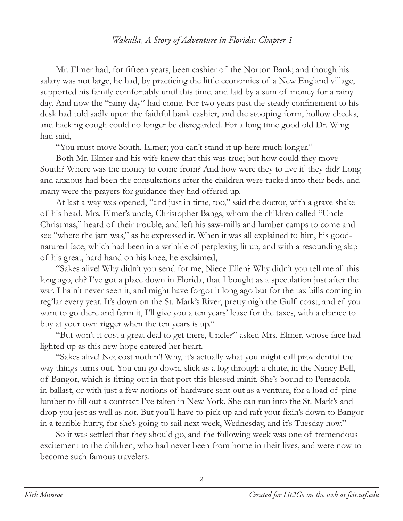Mr. Elmer had, for fifteen years, been cashier of the Norton Bank; and though his salary was not large, he had, by practicing the little economies of a New England village, supported his family comfortably until this time, and laid by a sum of money for a rainy day. And now the "rainy day" had come. For two years past the steady confinement to his desk had told sadly upon the faithful bank cashier, and the stooping form, hollow cheeks, and hacking cough could no longer be disregarded. For a long time good old Dr. Wing had said,

"You must move South, Elmer; you can't stand it up here much longer."

Both Mr. Elmer and his wife knew that this was true; but how could they move South? Where was the money to come from? And how were they to live if they did? Long and anxious had been the consultations after the children were tucked into their beds, and many were the prayers for guidance they had offered up.

At last a way was opened, "and just in time, too," said the doctor, with a grave shake of his head. Mrs. Elmer's uncle, Christopher Bangs, whom the children called "Uncle Christmas," heard of their trouble, and left his saw-mills and lumber camps to come and see "where the jam was," as he expressed it. When it was all explained to him, his goodnatured face, which had been in a wrinkle of perplexity, lit up, and with a resounding slap of his great, hard hand on his knee, he exclaimed,

"Sakes alive! Why didn't you send for me, Niece Ellen? Why didn't you tell me all this long ago, eh? I've got a place down in Florida, that I bought as a speculation just after the war. I hain't never seen it, and might have forgot it long ago but for the tax bills coming in reg'lar every year. It's down on the St. Mark's River, pretty nigh the Gulf coast, and ef you want to go there and farm it, I'll give you a ten years' lease for the taxes, with a chance to buy at your own rigger when the ten years is up."

"But won't it cost a great deal to get there, Uncle?" asked Mrs. Elmer, whose face had lighted up as this new hope entered her heart.

"Sakes alive! No; cost nothin'! Why, it's actually what you might call providential the way things turns out. You can go down, slick as a log through a chute, in the Nancy Bell, of Bangor, which is fitting out in that port this blessed minit. She's bound to Pensacola in ballast, or with just a few notions of hardware sent out as a venture, for a load of pine lumber to fill out a contract I've taken in New York. She can run into the St. Mark's and drop you jest as well as not. But you'll have to pick up and raft your fixin's down to Bangor in a terrible hurry, for she's going to sail next week, Wednesday, and it's Tuesday now."

So it was settled that they should go, and the following week was one of tremendous excitement to the children, who had never been from home in their lives, and were now to become such famous travelers.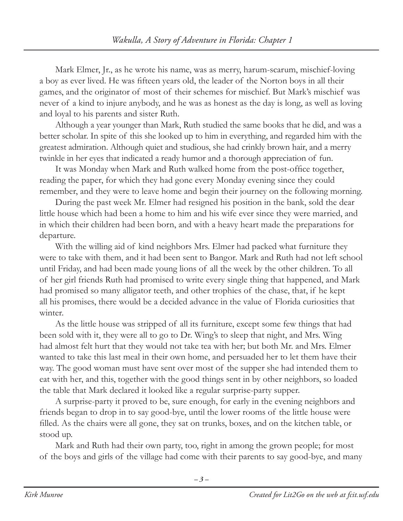Mark Elmer, Jr., as he wrote his name, was as merry, harum-scarum, mischief-loving a boy as ever lived. He was fifteen years old, the leader of the Norton boys in all their games, and the originator of most of their schemes for mischief. But Mark's mischief was never of a kind to injure anybody, and he was as honest as the day is long, as well as loving and loyal to his parents and sister Ruth.

Although a year younger than Mark, Ruth studied the same books that he did, and was a better scholar. In spite of this she looked up to him in everything, and regarded him with the greatest admiration. Although quiet and studious, she had crinkly brown hair, and a merry twinkle in her eyes that indicated a ready humor and a thorough appreciation of fun.

It was Monday when Mark and Ruth walked home from the post-office together, reading the paper, for which they had gone every Monday evening since they could remember, and they were to leave home and begin their journey on the following morning.

During the past week Mr. Elmer had resigned his position in the bank, sold the dear little house which had been a home to him and his wife ever since they were married, and in which their children had been born, and with a heavy heart made the preparations for departure.

With the willing aid of kind neighbors Mrs. Elmer had packed what furniture they were to take with them, and it had been sent to Bangor. Mark and Ruth had not left school until Friday, and had been made young lions of all the week by the other children. To all of her girl friends Ruth had promised to write every single thing that happened, and Mark had promised so many alligator teeth, and other trophies of the chase, that, if he kept all his promises, there would be a decided advance in the value of Florida curiosities that winter.

As the little house was stripped of all its furniture, except some few things that had been sold with it, they were all to go to Dr. Wing's to sleep that night, and Mrs. Wing had almost felt hurt that they would not take tea with her; but both Mr. and Mrs. Elmer wanted to take this last meal in their own home, and persuaded her to let them have their way. The good woman must have sent over most of the supper she had intended them to eat with her, and this, together with the good things sent in by other neighbors, so loaded the table that Mark declared it looked like a regular surprise-party supper.

A surprise-party it proved to be, sure enough, for early in the evening neighbors and friends began to drop in to say good-bye, until the lower rooms of the little house were filled. As the chairs were all gone, they sat on trunks, boxes, and on the kitchen table, or stood up.

Mark and Ruth had their own party, too, right in among the grown people; for most of the boys and girls of the village had come with their parents to say good-bye, and many